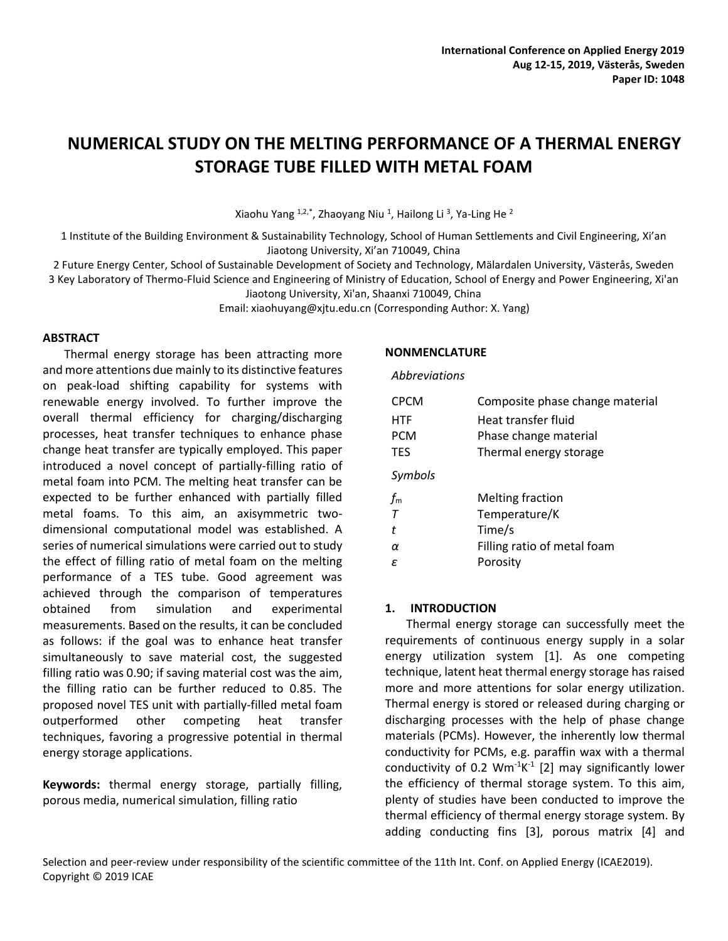# **NUMERICAL STUDY ON THE MELTING PERFORMANCE OF A THERMAL ENERGY STORAGE TUBE FILLED WITH METAL FOAM**

Xiaohu Yang <sup>1,2,\*</sup>, Zhaoyang Niu <sup>1</sup>, Hailong Li <sup>3</sup>, Ya-Ling He <sup>2</sup>

1 Institute of the Building Environment & Sustainability Technology, School of Human Settlements and Civil Engineering, Xi'an Jiaotong University, Xi'an 710049, China

2 Future Energy Center, School of Sustainable Development of Society and Technology, Mälardalen University, Västerås, Sweden 3 Key Laboratory of Thermo-Fluid Science and Engineering of Ministry of Education, School of Energy and Power Engineering, Xi'an Jiaotong University, Xi'an, Shaanxi 710049, China

Email: xiaohuyang@xjtu.edu.cn (Corresponding Author: X. Yang)

## **ABSTRACT**

Thermal energy storage has been attracting more and more attentions due mainly to its distinctive features on peak-load shifting capability for systems with renewable energy involved. To further improve the overall thermal efficiency for charging/discharging processes, heat transfer techniques to enhance phase change heat transfer are typically employed. This paper introduced a novel concept of partially-filling ratio of metal foam into PCM. The melting heat transfer can be expected to be further enhanced with partially filled metal foams. To this aim, an axisymmetric twodimensional computational model was established. A series of numerical simulations were carried out to study the effect of filling ratio of metal foam on the melting performance of a TES tube. Good agreement was achieved through the comparison of temperatures obtained from simulation and experimental measurements. Based on the results, it can be concluded as follows: if the goal was to enhance heat transfer simultaneously to save material cost, the suggested filling ratio was 0.90; if saving material cost was the aim, the filling ratio can be further reduced to 0.85. The proposed novel TES unit with partially-filled metal foam outperformed other competing heat transfer techniques, favoring a progressive potential in thermal energy storage applications.

**Keywords:** thermal energy storage, partially filling, porous media, numerical simulation, filling ratio

## **NONMENCLATURE**

## *Abbreviations*

| <b>CPCM</b>      | Composite phase change material |
|------------------|---------------------------------|
| <b>HTF</b>       | Heat transfer fluid             |
| <b>PCM</b>       | Phase change material           |
| <b>TES</b>       | Thermal energy storage          |
| Symbols          |                                 |
| $f_{\mathsf{m}}$ | <b>Melting fraction</b>         |
| $\tau$           | Temperature/K                   |
| t                | Time/s                          |
| α                | Filling ratio of metal foam     |
| ε                | Porosity                        |

# **1. INTRODUCTION**

Thermal energy storage can successfully meet the requirements of continuous energy supply in a solar energy utilization system [1]. As one competing technique, latent heat thermal energy storage has raised more and more attentions for solar energy utilization. Thermal energy is stored or released during charging or discharging processes with the help of phase change materials (PCMs). However, the inherently low thermal conductivity for PCMs, e.g. paraffin wax with a thermal conductivity of 0.2  $Wm^{-1}K^{-1}$  [2] may significantly lower the efficiency of thermal storage system. To this aim, plenty of studies have been conducted to improve the thermal efficiency of thermal energy storage system. By adding conducting fins [3], porous matrix [4] and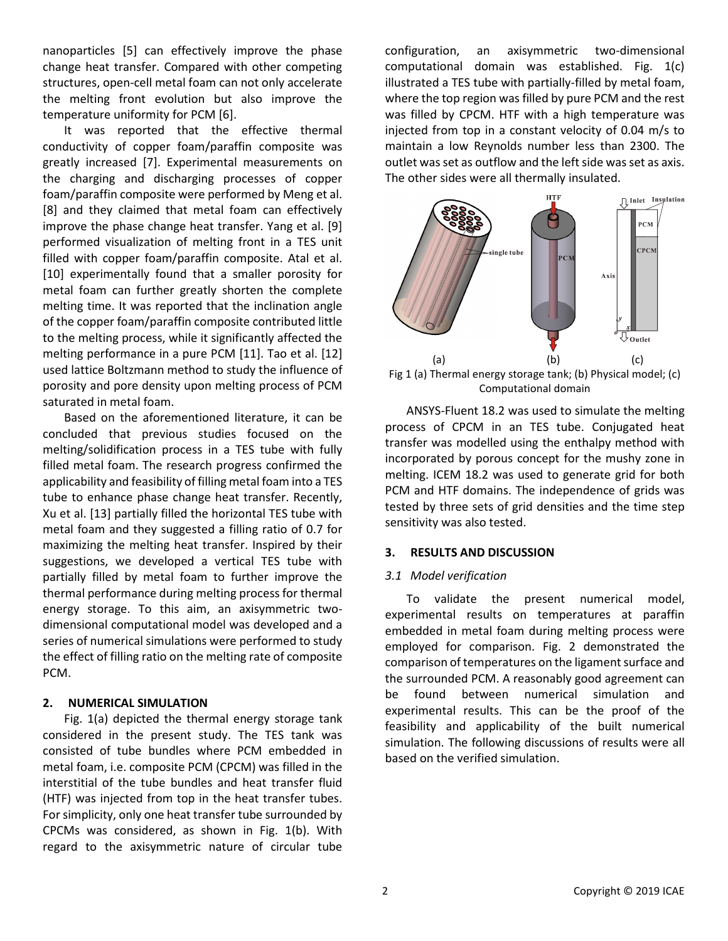nanoparticles [5] can effectively improve the phase change heat transfer. Compared with other competing structures, open-cell metal foam can not only accelerate the melting front evolution but also improve the temperature uniformity for PCM [6].

It was reported that the effective thermal conductivity of copper foam/paraffin composite was greatly increased [7]. Experimental measurements on the charging and discharging processes of copper foam/paraffin composite were performed by Meng et al. [8] and they claimed that metal foam can effectively improve the phase change heat transfer. Yang et al. [9] performed visualization of melting front in a TES unit filled with copper foam/paraffin composite. Atal et al. [10] experimentally found that a smaller porosity for metal foam can further greatly shorten the complete melting time. It was reported that the inclination angle of the copper foam/paraffin composite contributed little to the melting process, while it significantly affected the melting performance in a pure PCM [11]. Tao et al. [12] used lattice Boltzmann method to study the influence of porosity and pore density upon melting process of PCM saturated in metal foam.

Based on the aforementioned literature, it can be concluded that previous studies focused on the melting/solidification process in a TES tube with fully filled metal foam. The research progress confirmed the applicability and feasibility of filling metal foam into a TES tube to enhance phase change heat transfer. Recently, Xu et al. [13] partially filled the horizontal TES tube with metal foam and they suggested a filling ratio of 0.7 for maximizing the melting heat transfer. Inspired by their suggestions, we developed a vertical TES tube with partially filled by metal foam to further improve the thermal performance during melting process for thermal energy storage. To this aim, an axisymmetric twodimensional computational model was developed and a series of numerical simulations were performed to study the effect of filling ratio on the melting rate of composite PCM.

# **2. NUMERICAL SIMULATION**

Fig. 1(a) depicted the thermal energy storage tank considered in the present study. The TES tank was consisted of tube bundles where PCM embedded in metal foam, i.e. composite PCM (CPCM) was filled in the interstitial of the tube bundles and heat transfer fluid (HTF) was injected from top in the heat transfer tubes. For simplicity, only one heat transfer tube surrounded by CPCMs was considered, as shown in Fig. 1(b). With regard to the axisymmetric nature of circular tube configuration, an axisymmetric two-dimensional computational domain was established. Fig. 1(c) illustrated a TES tube with partially-filled by metal foam, where the top region was filled by pure PCM and the rest was filled by CPCM. HTF with a high temperature was injected from top in a constant velocity of 0.04 m/s to maintain a low Reynolds number less than 2300. The outlet was set as outflow and the left side was set as axis. The other sides were all thermally insulated.



Computational domain

ANSYS-Fluent 18.2 was used to simulate the melting process of CPCM in an TES tube. Conjugated heat transfer was modelled using the enthalpy method with incorporated by porous concept for the mushy zone in melting. ICEM 18.2 was used to generate grid for both PCM and HTF domains. The independence of grids was tested by three sets of grid densities and the time step sensitivity was also tested.

## **3. RESULTS AND DISCUSSION**

## *3.1 Model verification*

To validate the present numerical model, experimental results on temperatures at paraffin embedded in metal foam during melting process were employed for comparison. Fig. 2 demonstrated the comparison of temperatures on the ligament surface and the surrounded PCM. A reasonably good agreement can be found between numerical simulation and experimental results. This can be the proof of the feasibility and applicability of the built numerical simulation. The following discussions of results were all based on the verified simulation.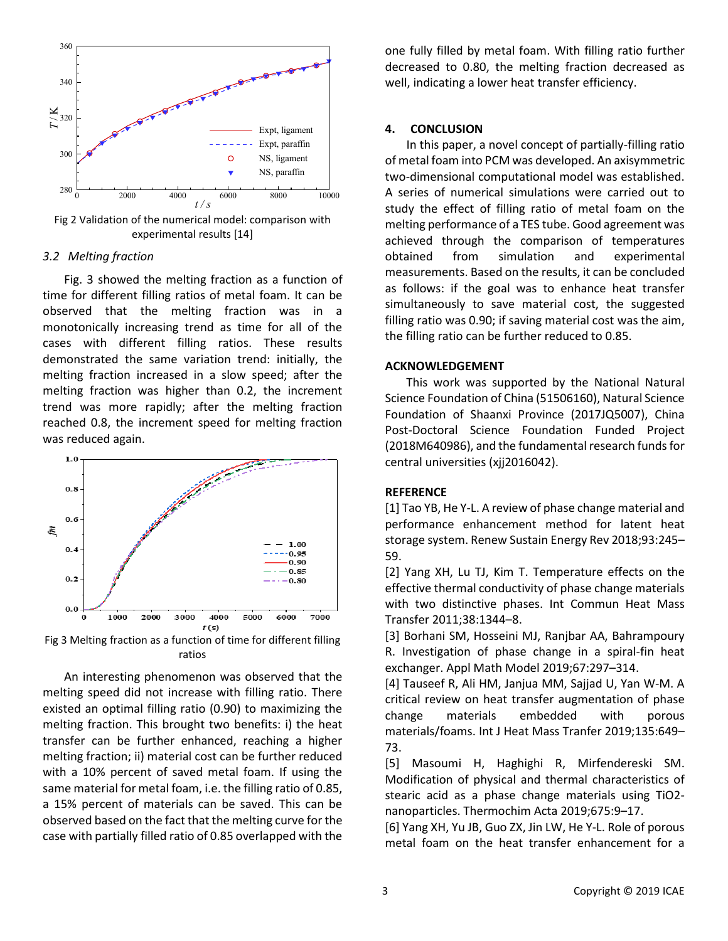

Fig 2 Validation of the numerical model: comparison with experimental results [14]

#### *3.2 Melting fraction*

Fig. 3 showed the melting fraction as a function of time for different filling ratios of metal foam. It can be observed that the melting fraction was in a monotonically increasing trend as time for all of the cases with different filling ratios. These results demonstrated the same variation trend: initially, the melting fraction increased in a slow speed; after the melting fraction was higher than 0.2, the increment trend was more rapidly; after the melting fraction reached 0.8, the increment speed for melting fraction was reduced again.



Fig 3 Melting fraction as a function of time for different filling ratios

An interesting phenomenon was observed that the melting speed did not increase with filling ratio. There existed an optimal filling ratio (0.90) to maximizing the melting fraction. This brought two benefits: i) the heat transfer can be further enhanced, reaching a higher melting fraction; ii) material cost can be further reduced with a 10% percent of saved metal foam. If using the same material for metal foam, i.e. the filling ratio of 0.85, a 15% percent of materials can be saved. This can be observed based on the fact that the melting curve for the case with partially filled ratio of 0.85 overlapped with the one fully filled by metal foam. With filling ratio further decreased to 0.80, the melting fraction decreased as well, indicating a lower heat transfer efficiency.

# **4. CONCLUSION**

In this paper, a novel concept of partially-filling ratio of metal foam into PCM was developed. An axisymmetric two-dimensional computational model was established. A series of numerical simulations were carried out to study the effect of filling ratio of metal foam on the melting performance of a TES tube. Good agreement was achieved through the comparison of temperatures obtained from simulation and experimental measurements. Based on the results, it can be concluded as follows: if the goal was to enhance heat transfer simultaneously to save material cost, the suggested filling ratio was 0.90; if saving material cost was the aim, the filling ratio can be further reduced to 0.85.

#### **ACKNOWLEDGEMENT**

This work was supported by the National Natural Science Foundation of China (51506160), Natural Science Foundation of Shaanxi Province (2017JQ5007), China Post-Doctoral Science Foundation Funded Project (2018M640986), and the fundamental research funds for central universities (xjj2016042).

#### **REFERENCE**

[1] Tao YB, He Y-L. A review of phase change material and performance enhancement method for latent heat storage system. Renew Sustain Energy Rev 2018;93:245– 59.

[2] Yang XH, Lu TJ, Kim T. Temperature effects on the effective thermal conductivity of phase change materials with two distinctive phases. Int Commun Heat Mass Transfer 2011;38:1344–8.

[3] Borhani SM, Hosseini MJ, Ranjbar AA, Bahrampoury R. Investigation of phase change in a spiral-fin heat exchanger. Appl Math Model 2019;67:297–314.

[4] Tauseef R, Ali HM, Janjua MM, Sajjad U, Yan W-M. A critical review on heat transfer augmentation of phase change materials embedded with porous materials/foams. Int J Heat Mass Tranfer 2019;135:649– 73.

[5] Masoumi H, Haghighi R, Mirfendereski SM. Modification of physical and thermal characteristics of stearic acid as a phase change materials using TiO2 nanoparticles. Thermochim Acta 2019;675:9–17.

[6] Yang XH, Yu JB, Guo ZX, Jin LW, He Y-L. Role of porous metal foam on the heat transfer enhancement for a